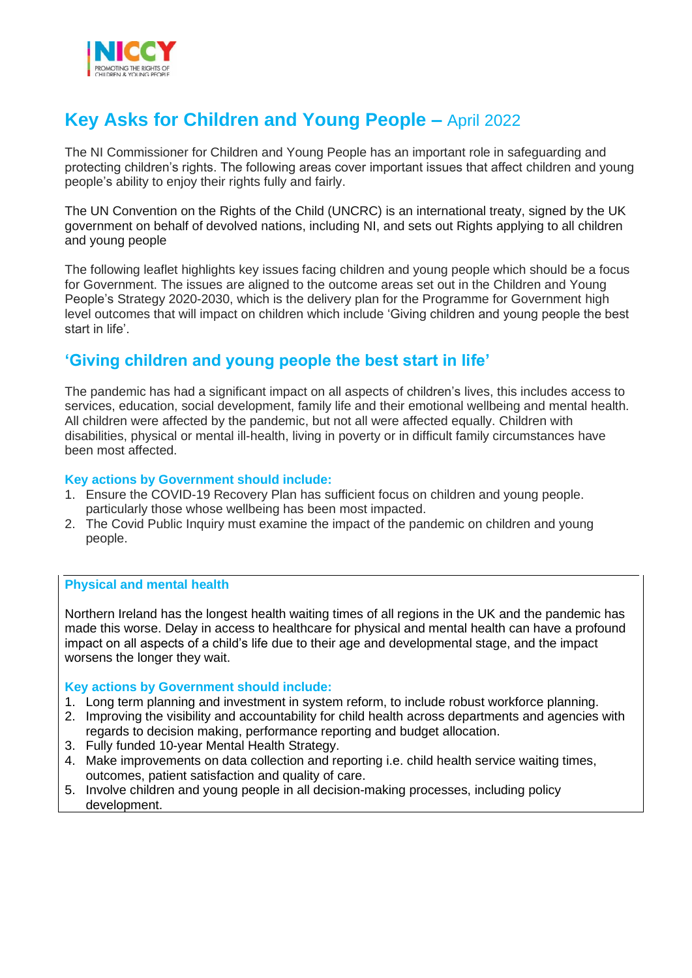

# **Key Asks for Children and Young People –** April 2022

The NI Commissioner for Children and Young People has an important role in safeguarding and protecting children's rights. The following areas cover important issues that affect children and young people's ability to enjoy their rights fully and fairly.

The UN Convention on the Rights of the Child (UNCRC) is an international treaty, signed by the UK government on behalf of devolved nations, including NI, and sets out Rights applying to all children and young people

The following leaflet highlights key issues facing children and young people which should be a focus for Government. The issues are aligned to the outcome areas set out in the Children and Young People's Strategy 2020-2030, which is the delivery plan for the Programme for Government high level outcomes that will impact on children which include 'Giving children and young people the best start in life'.

# **'Giving children and young people the best start in life'**

The pandemic has had a significant impact on all aspects of children's lives, this includes access to services, education, social development, family life and their emotional wellbeing and mental health. All children were affected by the pandemic, but not all were affected equally. Children with disabilities, physical or mental ill-health, living in poverty or in difficult family circumstances have been most affected.

# **Key actions by Government should include:**

- 1. Ensure the COVID-19 Recovery Plan has sufficient focus on children and young people. particularly those whose wellbeing has been most impacted.
- 2. The Covid Public Inquiry must examine the impact of the pandemic on children and young people.

# **Physical and mental health**

Northern Ireland has the longest health waiting times of all regions in the UK and the pandemic has made this worse. Delay in access to healthcare for physical and mental health can have a profound impact on all aspects of a child's life due to their age and developmental stage, and the impact worsens the longer they wait.

# **Key actions by Government should include:**

- 1. Long term planning and investment in system reform, to include robust workforce planning.
- 2. Improving the visibility and accountability for child health across departments and agencies with regards to decision making, performance reporting and budget allocation.
- 3. Fully funded 10-year Mental Health Strategy.
- 4. Make improvements on data collection and reporting i.e. child health service waiting times, outcomes, patient satisfaction and quality of care.
- 5. Involve children and young people in all decision-making processes, including policy development.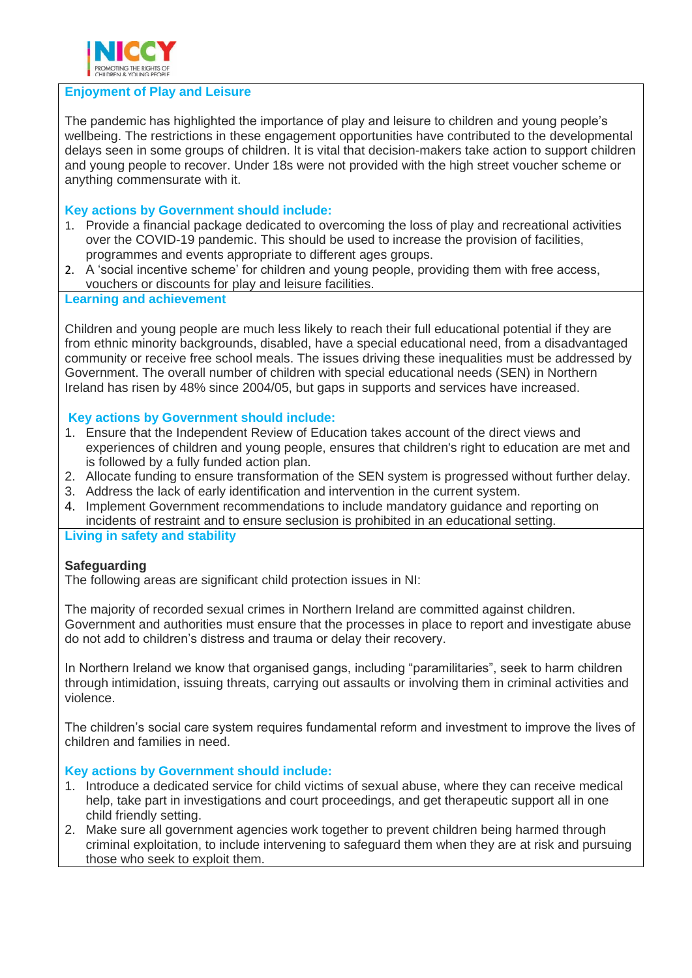

#### **Enjoyment of Play and Leisure**

The pandemic has highlighted the importance of play and leisure to children and young people's wellbeing. The restrictions in these engagement opportunities have contributed to the developmental delays seen in some groups of children. It is vital that decision-makers take action to support children and young people to recover. Under 18s were not provided with the high street voucher scheme or anything commensurate with it.

# **Key actions by Government should include:**

- 1. Provide a financial package dedicated to overcoming the loss of play and recreational activities over the COVID-19 pandemic. This should be used to increase the provision of facilities, programmes and events appropriate to different ages groups.
- 2. A 'social incentive scheme' for children and young people, providing them with free access, vouchers or discounts for play and leisure facilities.

# **Learning and achievement**

Children and young people are much less likely to reach their full educational potential if they are from ethnic minority backgrounds, disabled, have a special educational need, from a disadvantaged community or receive free school meals. The issues driving these inequalities must be addressed by Government. The overall number of children with special educational needs (SEN) in Northern Ireland has risen by 48% since 2004/05, but gaps in supports and services have increased.

#### **Key actions by Government should include:**

- 1. Ensure that the Independent Review of Education takes account of the direct views and experiences of children and young people, ensures that children's right to education are met and is followed by a fully funded action plan.
- 2. Allocate funding to ensure transformation of the SEN system is progressed without further delay.
- 3. Address the lack of early identification and intervention in the current system.
- 4. Implement Government recommendations to include mandatory guidance and reporting on incidents of restraint and to ensure seclusion is prohibited in an educational setting.

#### **Living in safety and stability**

#### **Safeguarding**

The following areas are significant child protection issues in NI:

The majority of recorded sexual crimes in Northern Ireland are committed against children. Government and authorities must ensure that the processes in place to report and investigate abuse do not add to children's distress and trauma or delay their recovery.

In Northern Ireland we know that organised gangs, including "paramilitaries", seek to harm children through intimidation, issuing threats, carrying out assaults or involving them in criminal activities and violence.

The children's social care system requires fundamental reform and investment to improve the lives of children and families in need.

#### **Key actions by Government should include:**

- 1. Introduce a dedicated service for child victims of sexual abuse, where they can receive medical help, take part in investigations and court proceedings, and get therapeutic support all in one child friendly setting.
- 2. Make sure all government agencies work together to prevent children being harmed through criminal exploitation, to include intervening to safeguard them when they are at risk and pursuing those who seek to exploit them.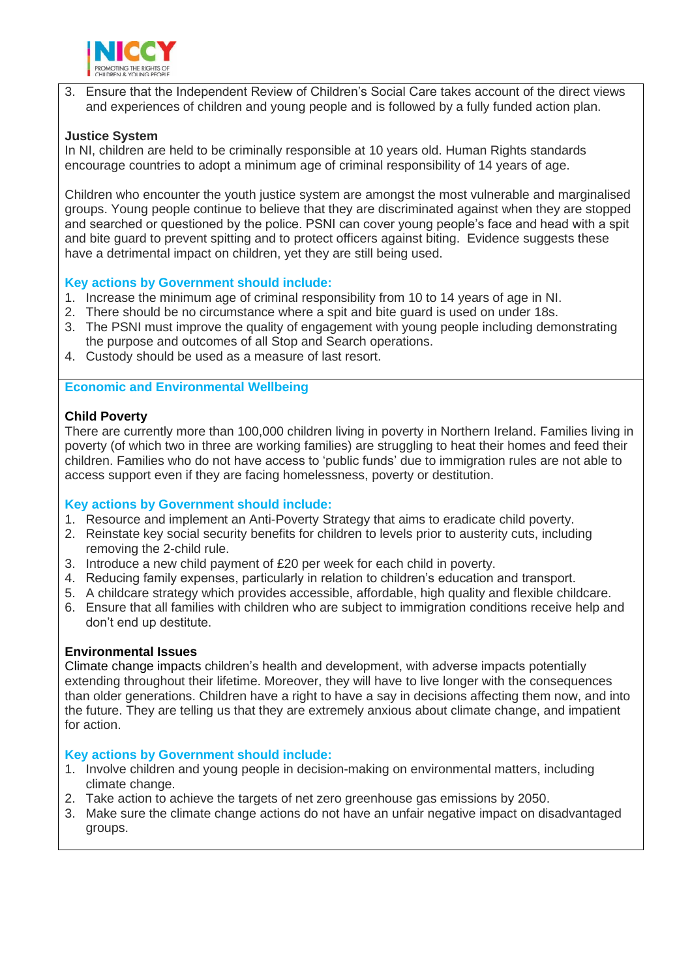

3. Ensure that the Independent Review of Children's Social Care takes account of the direct views and experiences of children and young people and is followed by a fully funded action plan.

# **Justice System**

In NI, children are held to be criminally responsible at 10 years old. Human Rights standards encourage countries to adopt a minimum age of criminal responsibility of 14 years of age.

Children who encounter the youth justice system are amongst the most vulnerable and marginalised groups. Young people continue to believe that they are discriminated against when they are stopped and searched or questioned by the police. PSNI can cover young people's face and head with a spit and bite guard to prevent spitting and to protect officers against biting. Evidence suggests these have a detrimental impact on children, yet they are still being used.

# **Key actions by Government should include:**

- 1. Increase the minimum age of criminal responsibility from 10 to 14 years of age in NI.
- 2. There should be no circumstance where a spit and bite guard is used on under 18s.
- 3. The PSNI must improve the quality of engagement with young people including demonstrating the purpose and outcomes of all Stop and Search operations.
- 4. Custody should be used as a measure of last resort.

# **Economic and Environmental Wellbeing**

# **Child Poverty**

There are currently more than 100,000 children living in poverty in Northern Ireland. Families living in poverty (of which two in three are working families) are struggling to heat their homes and feed their children. Families who do not have access to 'public funds' due to immigration rules are not able to access support even if they are facing homelessness, poverty or destitution.

# **Key actions by Government should include:**

- 1. Resource and implement an Anti-Poverty Strategy that aims to eradicate child poverty.
- 2. Reinstate key social security benefits for children to levels prior to austerity cuts, including removing the 2-child rule.
- 3. Introduce a new child payment of £20 per week for each child in poverty.
- 4. Reducing family expenses, particularly in relation to children's education and transport.
- 5. A childcare strategy which provides accessible, affordable, high quality and flexible childcare.
- 6. Ensure that all families with children who are subject to immigration conditions receive help and don't end up destitute.

# **Environmental Issues**

Climate change impacts children's health and development, with adverse impacts potentially extending throughout their lifetime. Moreover, they will have to live longer with the consequences than older generations. Children have a right to have a say in decisions affecting them now, and into the future. They are telling us that they are extremely anxious about climate change, and impatient for action.

# **Key actions by Government should include:**

- 1. Involve children and young people in decision-making on environmental matters, including climate change.
- 2. Take action to achieve the targets of net zero greenhouse gas emissions by 2050.
- 3. Make sure the climate change actions do not have an unfair negative impact on disadvantaged groups.